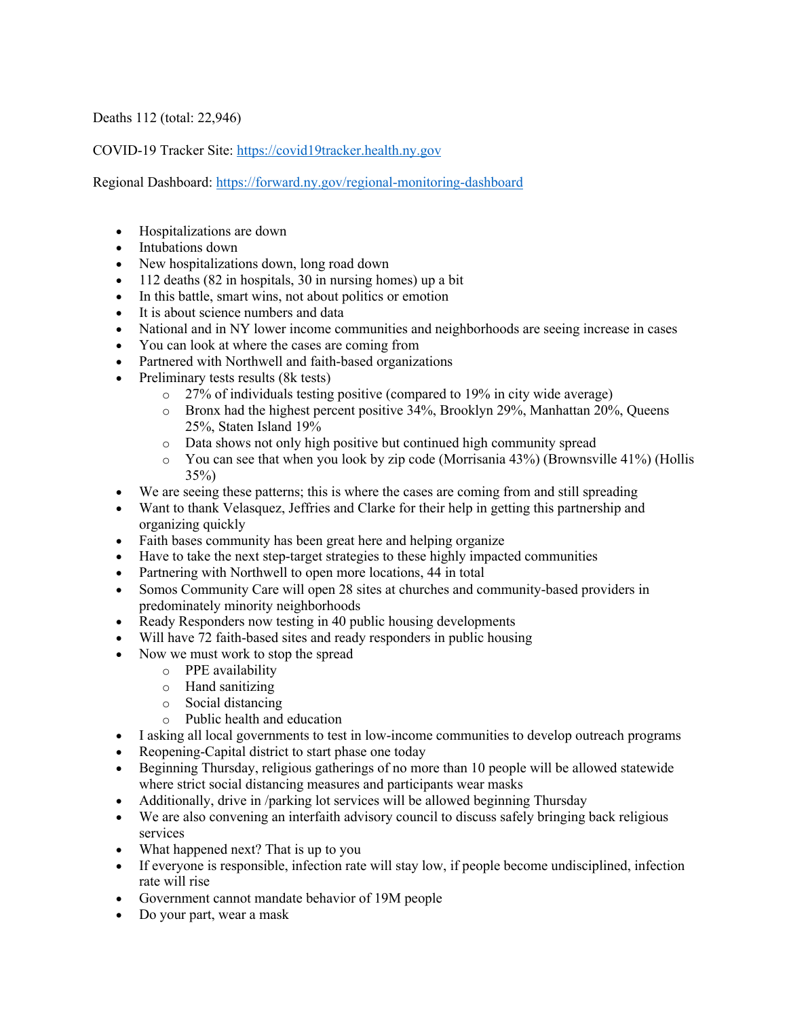Deaths 112 (total: 22,946)

COVID-19 Tracker Site: https://covid19tracker.health.ny.gov

Regional Dashboard: https://forward.ny.gov/regional-monitoring-dashboard

- Hospitalizations are down
- Intubations down
- New hospitalizations down, long road down
- 112 deaths (82 in hospitals, 30 in nursing homes) up a bit
- In this battle, smart wins, not about politics or emotion
- It is about science numbers and data
- National and in NY lower income communities and neighborhoods are seeing increase in cases
- You can look at where the cases are coming from
- Partnered with Northwell and faith-based organizations
- Preliminary tests results (8k tests)
	- $\circ$  27% of individuals testing positive (compared to 19% in city wide average)
	- o Bronx had the highest percent positive 34%, Brooklyn 29%, Manhattan 20%, Queens 25%, Staten Island 19%
	- o Data shows not only high positive but continued high community spread
	- o You can see that when you look by zip code (Morrisania 43%) (Brownsville 41%) (Hollis 35%)
- We are seeing these patterns; this is where the cases are coming from and still spreading
- Want to thank Velasquez, Jeffries and Clarke for their help in getting this partnership and organizing quickly
- Faith bases community has been great here and helping organize
- Have to take the next step-target strategies to these highly impacted communities
- Partnering with Northwell to open more locations, 44 in total
- Somos Community Care will open 28 sites at churches and community-based providers in predominately minority neighborhoods
- Ready Responders now testing in 40 public housing developments
- Will have 72 faith-based sites and ready responders in public housing
- Now we must work to stop the spread
	- o PPE availability
	- o Hand sanitizing
	- o Social distancing
	- o Public health and education
- I asking all local governments to test in low-income communities to develop outreach programs
- Reopening-Capital district to start phase one today
- Beginning Thursday, religious gatherings of no more than 10 people will be allowed statewide where strict social distancing measures and participants wear masks
- Additionally, drive in /parking lot services will be allowed beginning Thursday
- We are also convening an interfaith advisory council to discuss safely bringing back religious services
- What happened next? That is up to you
- If everyone is responsible, infection rate will stay low, if people become undisciplined, infection rate will rise
- Government cannot mandate behavior of 19M people
- Do your part, wear a mask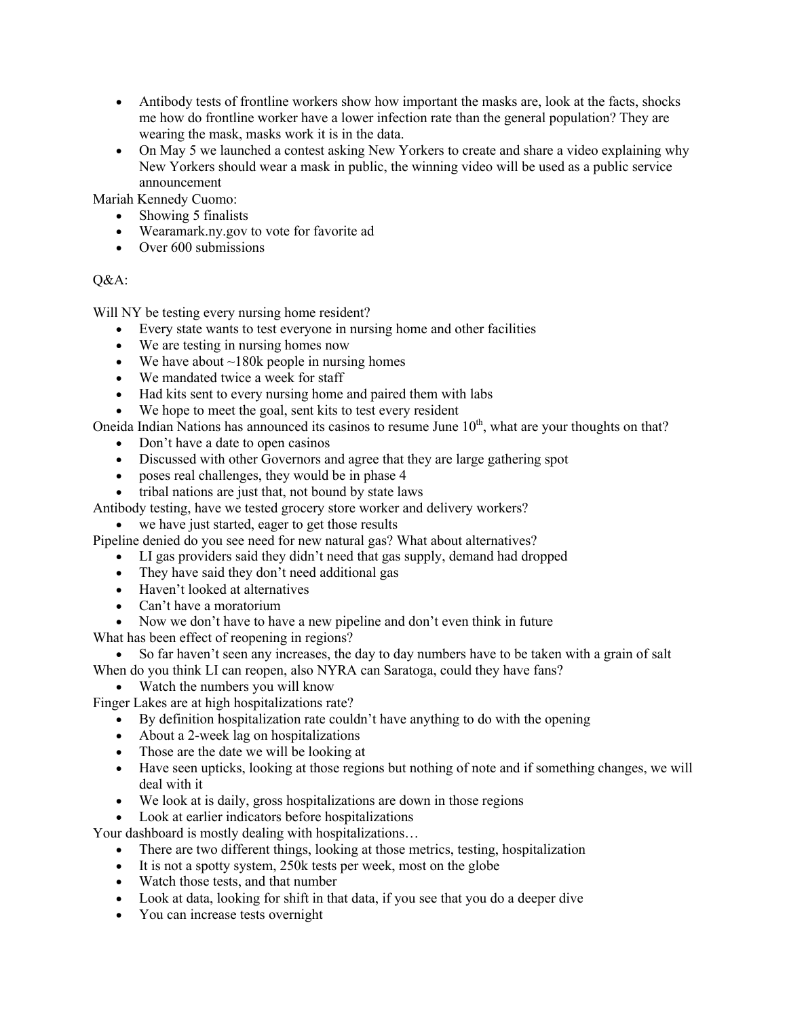- Antibody tests of frontline workers show how important the masks are, look at the facts, shocks me how do frontline worker have a lower infection rate than the general population? They are wearing the mask, masks work it is in the data.
- On May 5 we launched a contest asking New Yorkers to create and share a video explaining why New Yorkers should wear a mask in public, the winning video will be used as a public service announcement

Mariah Kennedy Cuomo:

- Showing 5 finalists
- Wearamark.ny.gov to vote for favorite ad
- Over 600 submissions

## Q&A:

Will NY be testing every nursing home resident?

- Every state wants to test everyone in nursing home and other facilities
- We are testing in nursing homes now
- We have about  $\sim$  180k people in nursing homes
- We mandated twice a week for staff
- Had kits sent to every nursing home and paired them with labs
- We hope to meet the goal, sent kits to test every resident

Oneida Indian Nations has announced its casinos to resume June  $10<sup>th</sup>$ , what are your thoughts on that?

- Don't have a date to open casinos
- Discussed with other Governors and agree that they are large gathering spot
- poses real challenges, they would be in phase 4
- tribal nations are just that, not bound by state laws

Antibody testing, have we tested grocery store worker and delivery workers?

• we have just started, eager to get those results

Pipeline denied do you see need for new natural gas? What about alternatives?

- LI gas providers said they didn't need that gas supply, demand had dropped
- They have said they don't need additional gas
- Haven't looked at alternatives
- Can't have a moratorium
- Now we don't have to have a new pipeline and don't even think in future

What has been effect of reopening in regions?

- So far haven't seen any increases, the day to day numbers have to be taken with a grain of salt When do you think LI can reopen, also NYRA can Saratoga, could they have fans?
	- Watch the numbers you will know

Finger Lakes are at high hospitalizations rate?

- By definition hospitalization rate couldn't have anything to do with the opening
- About a 2-week lag on hospitalizations
- Those are the date we will be looking at
- Have seen upticks, looking at those regions but nothing of note and if something changes, we will deal with it
- We look at is daily, gross hospitalizations are down in those regions
- Look at earlier indicators before hospitalizations

Your dashboard is mostly dealing with hospitalizations…

- There are two different things, looking at those metrics, testing, hospitalization
- It is not a spotty system, 250k tests per week, most on the globe
- Watch those tests, and that number
- Look at data, looking for shift in that data, if you see that you do a deeper dive
- You can increase tests overnight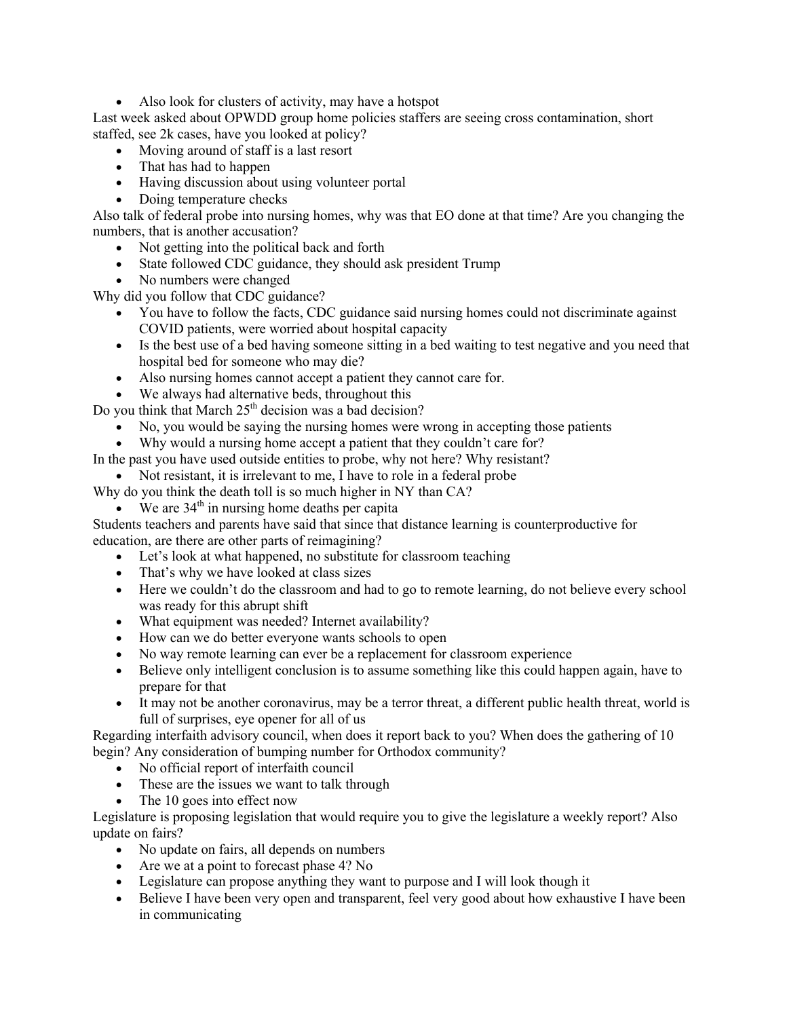• Also look for clusters of activity, may have a hotspot

Last week asked about OPWDD group home policies staffers are seeing cross contamination, short staffed, see 2k cases, have you looked at policy?

- Moving around of staff is a last resort
- That has had to happen
- Having discussion about using volunteer portal
- Doing temperature checks

Also talk of federal probe into nursing homes, why was that EO done at that time? Are you changing the numbers, that is another accusation?

- Not getting into the political back and forth
- State followed CDC guidance, they should ask president Trump
- No numbers were changed

Why did you follow that CDC guidance?

- You have to follow the facts, CDC guidance said nursing homes could not discriminate against COVID patients, were worried about hospital capacity
- Is the best use of a bed having someone sitting in a bed waiting to test negative and you need that hospital bed for someone who may die?
- Also nursing homes cannot accept a patient they cannot care for.
- We always had alternative beds, throughout this

Do you think that March  $25<sup>th</sup>$  decision was a bad decision?

- No, you would be saying the nursing homes were wrong in accepting those patients
- Why would a nursing home accept a patient that they couldn't care for?

In the past you have used outside entities to probe, why not here? Why resistant?

• Not resistant, it is irrelevant to me, I have to role in a federal probe

Why do you think the death toll is so much higher in NY than CA?

We are  $34<sup>th</sup>$  in nursing home deaths per capita

Students teachers and parents have said that since that distance learning is counterproductive for education, are there are other parts of reimagining?

- Let's look at what happened, no substitute for classroom teaching
- That's why we have looked at class sizes
- Here we couldn't do the classroom and had to go to remote learning, do not believe every school was ready for this abrupt shift
- What equipment was needed? Internet availability?
- How can we do better everyone wants schools to open
- No way remote learning can ever be a replacement for classroom experience
- Believe only intelligent conclusion is to assume something like this could happen again, have to prepare for that
- It may not be another coronavirus, may be a terror threat, a different public health threat, world is full of surprises, eye opener for all of us

Regarding interfaith advisory council, when does it report back to you? When does the gathering of 10 begin? Any consideration of bumping number for Orthodox community?

- No official report of interfaith council
- These are the issues we want to talk through
- The 10 goes into effect now

Legislature is proposing legislation that would require you to give the legislature a weekly report? Also update on fairs?

- No update on fairs, all depends on numbers
- Are we at a point to forecast phase 4? No
- Legislature can propose anything they want to purpose and I will look though it
- Believe I have been very open and transparent, feel very good about how exhaustive I have been in communicating